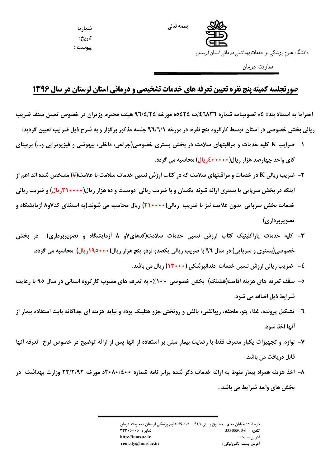

شماره: تاريخ: پيوست :

دانشگاه علوم پزشکی و خدمات بهداشتی درمانی استان لرستان

معاونت درمان

## صورتجلسه کمیته پنج نفره تعیین تعرفه های خدمات تشخیصی و درمانی استان لرستان در سال ۱۳۹۶

احتراما به استناد بند« ٤» تصويبنامه شماره ٤٦٨٣٦/ت ٥٥٤٢٤ه مورخه ٩٦/٤/٢٤ هيئت محترم وزيران در خصوص تعيين سقف ضريب ریالی بخش خصوصی در استان توسط کارگروه پنج نفره، در مورخه ۹٦/٦/۱ جلسه مذکور برگزار و به شرح ذیل ضرایب تعیین گردید:

- ۱- ضرایب K کلیه خدمات و مراقبتهای سلامت در بخش بستری خصوصی(جراحی، داخلی، بیهوشی و فیزیوتراپی و…) برمبنای کای واحد چهارصد هزار ریال(۱۰۰۰۰۰\$ریال) محاسبه می گردد.
- **۲** ضریب ریالی K در خدمات و مراقبتهای سلامت که در کتاب ارزش نسبی خدمات سلامت با علامت(#) مشخص شده اند اعم از اینکه در بخش سرپایی یا بستری ارائه شوند یکسان و با ضریب ریالی دویست و ده هزار ریال(۲۱۰۰۰۰ریال) و ضریب ریالی خدمات بخش سریایی ِ بدون علامت نیز با ضریب ِ ریالی(++++(٢) ریال محاسبه می شوند.(به استثنای کد۷و۸ اَزمایشگاه و تصويربرداري)
- ۳- کلیه خدمات پاراکلینیک کتاب ارزش نسبی خدمات سلامت(کدهای۷و ۸ آزمایشگاه و تصویربرداری) در بخش خصوصی(بستری و سرپایی) در سال ۹۲ با ضریب ریالی یکصدو نودو پنج هزار ریال(۱۹۰۰۰۰۰ریال) محاسبه می گردد.
	- ٤-- ضريب ريالي ارزش نسبي خدمات دندانيزشكي (١٣٠٠٠) ريال مي باشد.
- ٥- سقف تعرفه های هزینه اقامت(هتلینگ) بخش خصوصی «١٠٪» به تعرفه های مصوب کارگروه استانی در سال ٩٥ با رعایت شرايط ذيل اضافه مي شود.
- ٦- تشکیل پرونده، غذا، پتو، ملحفه، روبالشی، بالش و روتختی جزو هتلینگ بوده و نباید هزینه ای جداگانه بابت استفاده بیمار از أنها اخذ شود.
- ۷- لوازم و تجهیزات یکبار مصرف فقط با رضایت بیمار مبنی بر استفاده از آنها پس از ارائه توضیح در خصوص نرخ ً تعرفه أنها قابل دريافت مي باشد.
- ۸– اخذ هزینه همراه بیمار منوط به ارائه خدمات ذکر شده برابر نامه شماره ۲۰۸۰/٤۰۰ مورخه ۲۲/۲/۹۲ وزارت بهداشت ً در بخش های واجد شرایط می باشد .

خرم أباد : خيابان معلم – صندوق پستي ٤٤١ ٪ دانشگاه علوم پزشكي لرستان ، معاونت درمان تلفن: 6-33305500 نمابر: ٢٣٣٠٥٠٠٥ http://lums.ac.ir أدرس سايت : remedy@lums.ac.ir: أدرس پست الكترونيكي :